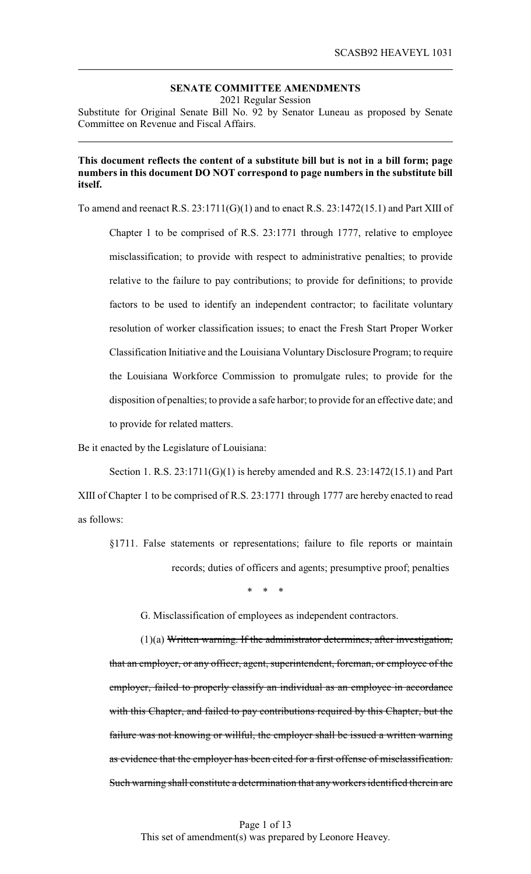## **SENATE COMMITTEE AMENDMENTS**

2021 Regular Session

Substitute for Original Senate Bill No. 92 by Senator Luneau as proposed by Senate Committee on Revenue and Fiscal Affairs.

## **This document reflects the content of a substitute bill but is not in a bill form; page numbers in this document DO NOT correspond to page numbers in the substitute bill itself.**

To amend and reenact R.S. 23:1711(G)(1) and to enact R.S. 23:1472(15.1) and Part XIII of

Chapter 1 to be comprised of R.S. 23:1771 through 1777, relative to employee misclassification; to provide with respect to administrative penalties; to provide relative to the failure to pay contributions; to provide for definitions; to provide factors to be used to identify an independent contractor; to facilitate voluntary resolution of worker classification issues; to enact the Fresh Start Proper Worker Classification Initiative and the Louisiana Voluntary Disclosure Program; to require the Louisiana Workforce Commission to promulgate rules; to provide for the disposition of penalties; to provide a safe harbor; to provide for an effective date; and to provide for related matters.

Be it enacted by the Legislature of Louisiana:

Section 1. R.S. 23:1711(G)(1) is hereby amended and R.S. 23:1472(15.1) and Part XIII of Chapter 1 to be comprised of R.S. 23:1771 through 1777 are hereby enacted to read as follows:

§1711. False statements or representations; failure to file reports or maintain records; duties of officers and agents; presumptive proof; penalties

\* \* \*

G. Misclassification of employees as independent contractors.

(1)(a) Written warning. If the administrator determines, after investigation, that an employer, or any officer, agent, superintendent, foreman, or employee of the employer, failed to properly classify an individual as an employee in accordance with this Chapter, and failed to pay contributions required by this Chapter, but the failure was not knowing or willful, the employer shall be issued a written warning as evidence that the employer has been cited for a first offense of misclassification. Such warning shall constitute a determination that any workers identified therein are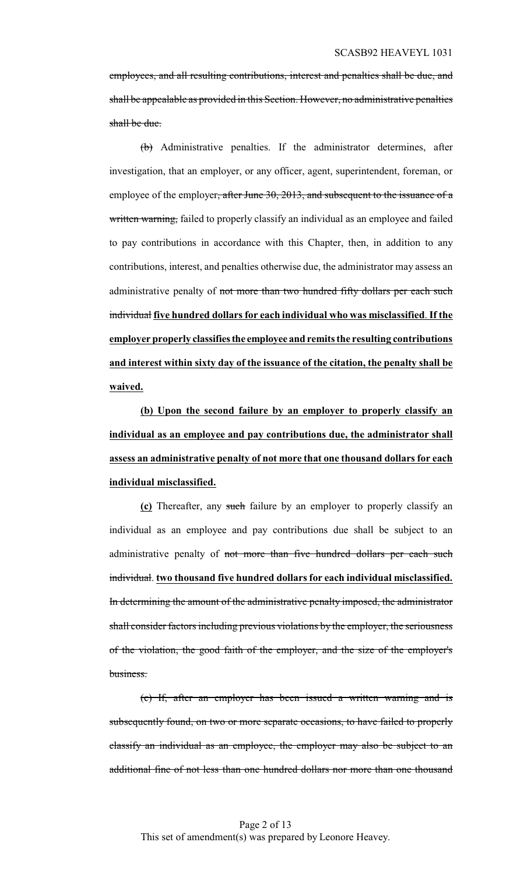employees, and all resulting contributions, interest and penalties shall be due, and shall be appealable as provided in this Section. However, no administrative penalties shall be due.

(b) Administrative penalties. If the administrator determines, after investigation, that an employer, or any officer, agent, superintendent, foreman, or employee of the employer, after June 30, 2013, and subsequent to the issuance of a written warning, failed to properly classify an individual as an employee and failed to pay contributions in accordance with this Chapter, then, in addition to any contributions, interest, and penalties otherwise due, the administrator may assess an administrative penalty of not more than two hundred fifty dollars per each such individual **five hundred dollars for each individual who was misclassified**. **If the employer properly classifiesthe employee and remits the resulting contributions and interest within sixty day of the issuance of the citation, the penalty shall be waived.**

**(b) Upon the second failure by an employer to properly classify an individual as an employee and pay contributions due, the administrator shall assess an administrative penalty of not more that one thousand dollars for each individual misclassified.**

**(c)** Thereafter, any such failure by an employer to properly classify an individual as an employee and pay contributions due shall be subject to an administrative penalty of not more than five hundred dollars per each such individual. **two thousand five hundred dollars for each individual misclassified.** In determining the amount of the administrative penalty imposed, the administrator shall consider factors including previous violations by the employer, the seriousness of the violation, the good faith of the employer, and the size of the employer's business.

(c) If, after an employer has been issued a written warning and is subsequently found, on two or more separate occasions, to have failed to properly classify an individual as an employee, the employer may also be subject to an additional fine of not less than one hundred dollars nor more than one thousand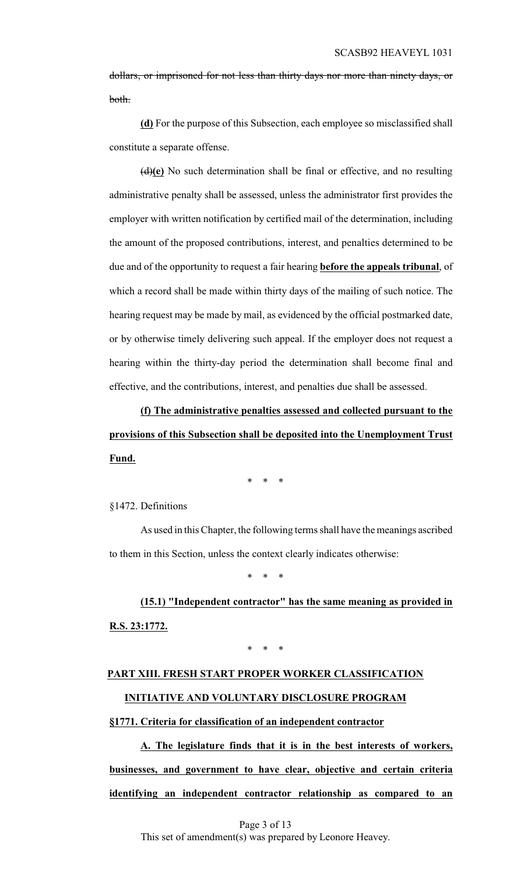dollars, or imprisoned for not less than thirty days nor more than ninety days, or both.

**(d)** For the purpose of this Subsection, each employee so misclassified shall constitute a separate offense.

(d)**(e)** No such determination shall be final or effective, and no resulting administrative penalty shall be assessed, unless the administrator first provides the employer with written notification by certified mail of the determination, including the amount of the proposed contributions, interest, and penalties determined to be due and of the opportunity to request a fair hearing **before the appeals tribunal**, of which a record shall be made within thirty days of the mailing of such notice. The hearing request may be made by mail, as evidenced by the official postmarked date, or by otherwise timely delivering such appeal. If the employer does not request a hearing within the thirty-day period the determination shall become final and effective, and the contributions, interest, and penalties due shall be assessed.

**(f) The administrative penalties assessed and collected pursuant to the provisions of this Subsection shall be deposited into the Unemployment Trust Fund.**

\* \* \*

§1472. Definitions

As used in this Chapter, the following terms shall have the meanings ascribed to them in this Section, unless the context clearly indicates otherwise:

\* \* \*

**(15.1) "Independent contractor" has the same meaning as provided in R.S. 23:1772.**

\* \* \*

## **PART XIII. FRESH START PROPER WORKER CLASSIFICATION INITIATIVE AND VOLUNTARY DISCLOSURE PROGRAM**

**§1771. Criteria for classification of an independent contractor**

**A. The legislature finds that it is in the best interests of workers, businesses, and government to have clear, objective and certain criteria identifying an independent contractor relationship as compared to an**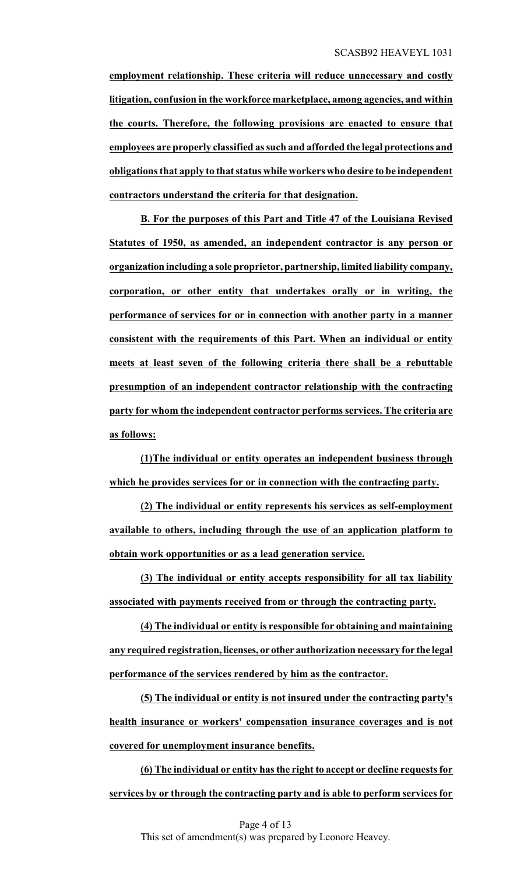**employment relationship. These criteria will reduce unnecessary and costly litigation, confusion in the workforce marketplace, among agencies, and within the courts. Therefore, the following provisions are enacted to ensure that employees are properly classified as such and afforded the legal protections and obligations that apply to that status while workers who desire to be independent contractors understand the criteria for that designation.**

**B. For the purposes of this Part and Title 47 of the Louisiana Revised Statutes of 1950, as amended, an independent contractor is any person or organization including a sole proprietor, partnership, limited liability company, corporation, or other entity that undertakes orally or in writing, the performance of services for or in connection with another party in a manner consistent with the requirements of this Part. When an individual or entity meets at least seven of the following criteria there shall be a rebuttable presumption of an independent contractor relationship with the contracting party for whom the independent contractor performs services. The criteria are as follows:**

**(1)The individual or entity operates an independent business through which he provides services for or in connection with the contracting party.**

**(2) The individual or entity represents his services as self-employment available to others, including through the use of an application platform to obtain work opportunities or as a lead generation service.**

**(3) The individual or entity accepts responsibility for all tax liability associated with payments received from or through the contracting party.**

**(4) The individual or entity is responsible for obtaining and maintaining any required registration, licenses, or other authorization necessary for the legal performance of the services rendered by him as the contractor.**

**(5) The individual or entity is not insured under the contracting party's health insurance or workers' compensation insurance coverages and is not covered for unemployment insurance benefits.**

**(6) The individual or entity has the right to accept or decline requests for services by or through the contracting party and is able to perform services for**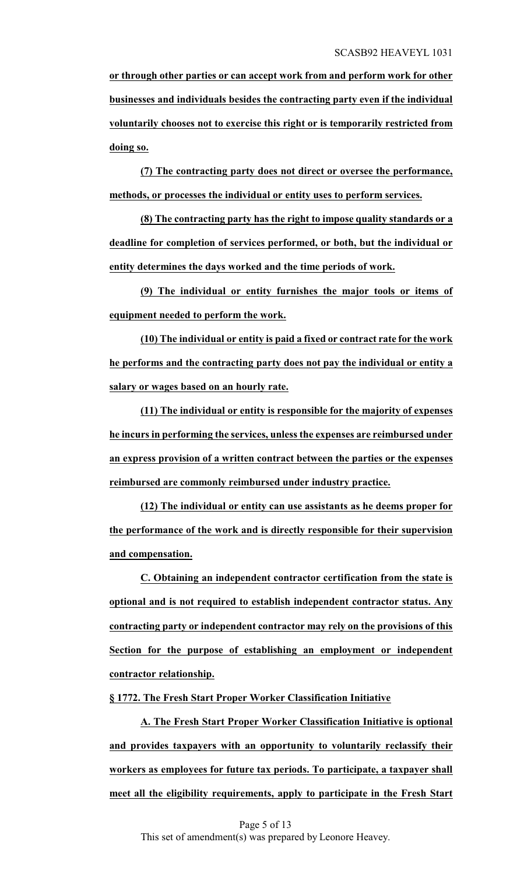**or through other parties or can accept work from and perform work for other businesses and individuals besides the contracting party even if the individual voluntarily chooses not to exercise this right or is temporarily restricted from doing so.**

**(7) The contracting party does not direct or oversee the performance, methods, or processes the individual or entity uses to perform services.**

**(8) The contracting party has the right to impose quality standards or a deadline for completion of services performed, or both, but the individual or entity determines the days worked and the time periods of work.**

**(9) The individual or entity furnishes the major tools or items of equipment needed to perform the work.**

**(10) The individual or entity is paid a fixed or contract rate for the work he performs and the contracting party does not pay the individual or entity a salary or wages based on an hourly rate.**

**(11) The individual or entity is responsible for the majority of expenses he incurs in performing the services, unless the expenses are reimbursed under an express provision of a written contract between the parties or the expenses reimbursed are commonly reimbursed under industry practice.**

**(12) The individual or entity can use assistants as he deems proper for the performance of the work and is directly responsible for their supervision and compensation.**

**C. Obtaining an independent contractor certification from the state is optional and is not required to establish independent contractor status. Any contracting party or independent contractor may rely on the provisions of this Section for the purpose of establishing an employment or independent contractor relationship.**

## **§ 1772. The Fresh Start Proper Worker Classification Initiative**

**A. The Fresh Start Proper Worker Classification Initiative is optional and provides taxpayers with an opportunity to voluntarily reclassify their workers as employees for future tax periods. To participate, a taxpayer shall meet all the eligibility requirements, apply to participate in the Fresh Start**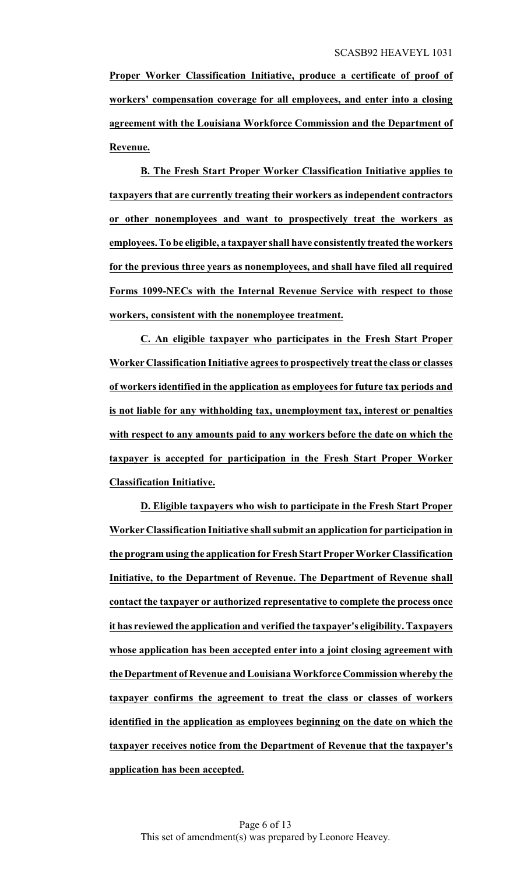**Proper Worker Classification Initiative, produce a certificate of proof of workers' compensation coverage for all employees, and enter into a closing agreement with the Louisiana Workforce Commission and the Department of Revenue.**

**B. The Fresh Start Proper Worker Classification Initiative applies to taxpayers that are currently treating their workers as independent contractors or other nonemployees and want to prospectively treat the workers as employees. To be eligible, a taxpayer shall have consistently treated the workers for the previous three years as nonemployees, and shall have filed all required Forms 1099-NECs with the Internal Revenue Service with respect to those workers, consistent with the nonemployee treatment.**

**C. An eligible taxpayer who participates in the Fresh Start Proper Worker Classification Initiative agrees to prospectively treat the class or classes of workers identified in the application as employees for future tax periods and is not liable for any withholding tax, unemployment tax, interest or penalties with respect to any amounts paid to any workers before the date on which the taxpayer is accepted for participation in the Fresh Start Proper Worker Classification Initiative.**

**D. Eligible taxpayers who wish to participate in the Fresh Start Proper Worker Classification Initiative shall submit an application for participation in the programusing the application for Fresh Start Proper Worker Classification Initiative, to the Department of Revenue. The Department of Revenue shall contact the taxpayer or authorized representative to complete the process once it has reviewed the application and verified the taxpayer's eligibility. Taxpayers whose application has been accepted enter into a joint closing agreement with theDepartment of Revenue and Louisiana Workforce Commission whereby the taxpayer confirms the agreement to treat the class or classes of workers identified in the application as employees beginning on the date on which the taxpayer receives notice from the Department of Revenue that the taxpayer's application has been accepted.**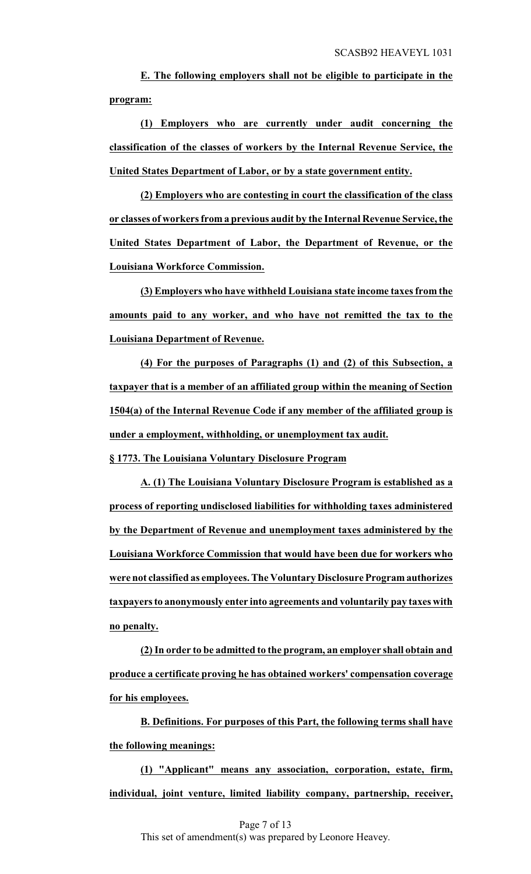**E. The following employers shall not be eligible to participate in the program:**

**(1) Employers who are currently under audit concerning the classification of the classes of workers by the Internal Revenue Service, the United States Department of Labor, or by a state government entity.**

**(2) Employers who are contesting in court the classification of the class or classes of workers from a previous audit by the Internal Revenue Service, the United States Department of Labor, the Department of Revenue, or the Louisiana Workforce Commission.**

**(3) Employers who have withheld Louisiana state income taxes from the amounts paid to any worker, and who have not remitted the tax to the Louisiana Department of Revenue.**

**(4) For the purposes of Paragraphs (1) and (2) of this Subsection, a taxpayer that is a member of an affiliated group within the meaning of Section 1504(a) of the Internal Revenue Code if any member of the affiliated group is under a employment, withholding, or unemployment tax audit.**

**§ 1773. The Louisiana Voluntary Disclosure Program**

**A. (1) The Louisiana Voluntary Disclosure Program is established as a process of reporting undisclosed liabilities for withholding taxes administered by the Department of Revenue and unemployment taxes administered by the Louisiana Workforce Commission that would have been due for workers who were not classified as employees. The Voluntary Disclosure Program authorizes taxpayers to anonymously enter into agreements and voluntarily pay taxes with no penalty.**

**(2) In order to be admitted to the program, an employer shall obtain and produce a certificate proving he has obtained workers' compensation coverage for his employees.**

**B. Definitions. For purposes of this Part, the following terms shall have the following meanings:**

**(1) "Applicant" means any association, corporation, estate, firm, individual, joint venture, limited liability company, partnership, receiver,**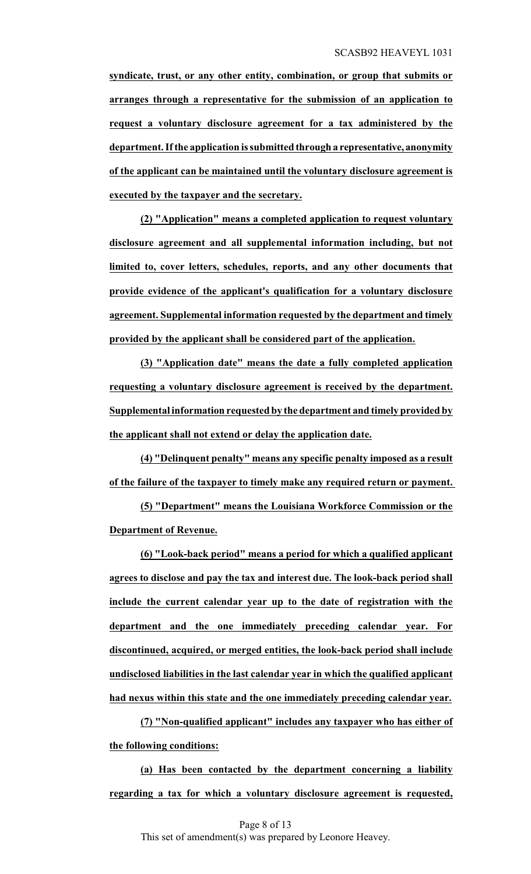**syndicate, trust, or any other entity, combination, or group that submits or arranges through a representative for the submission of an application to request a voluntary disclosure agreement for a tax administered by the department. Ifthe application is submitted through a representative, anonymity of the applicant can be maintained until the voluntary disclosure agreement is executed by the taxpayer and the secretary.**

**(2) "Application" means a completed application to request voluntary disclosure agreement and all supplemental information including, but not limited to, cover letters, schedules, reports, and any other documents that provide evidence of the applicant's qualification for a voluntary disclosure agreement. Supplemental information requested by the department and timely provided by the applicant shall be considered part of the application.**

**(3) "Application date" means the date a fully completed application requesting a voluntary disclosure agreement is received by the department. Supplemental information requested by the department and timely provided by the applicant shall not extend or delay the application date.**

**(4) "Delinquent penalty" means any specific penalty imposed as a result of the failure of the taxpayer to timely make any required return or payment.** 

**(5) "Department" means the Louisiana Workforce Commission or the Department of Revenue.**

**(6) "Look-back period" means a period for which a qualified applicant agrees to disclose and pay the tax and interest due. The look-back period shall include the current calendar year up to the date of registration with the department and the one immediately preceding calendar year. For discontinued, acquired, or merged entities, the look-back period shall include undisclosed liabilities in the last calendar year in which the qualified applicant had nexus within this state and the one immediately preceding calendar year.**

**(7) "Non-qualified applicant" includes any taxpayer who has either of the following conditions:**

**(a) Has been contacted by the department concerning a liability regarding a tax for which a voluntary disclosure agreement is requested,**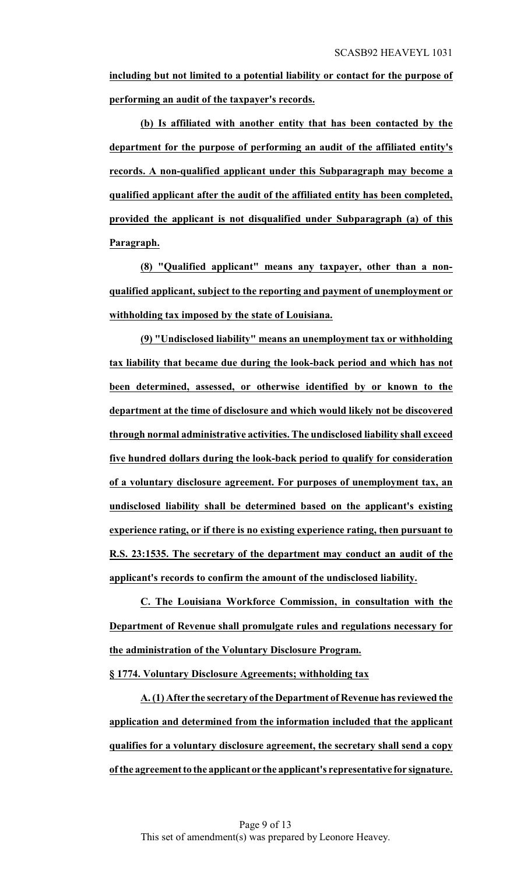**including but not limited to a potential liability or contact for the purpose of performing an audit of the taxpayer's records.**

**(b) Is affiliated with another entity that has been contacted by the department for the purpose of performing an audit of the affiliated entity's records. A non-qualified applicant under this Subparagraph may become a qualified applicant after the audit of the affiliated entity has been completed, provided the applicant is not disqualified under Subparagraph (a) of this Paragraph.**

**(8) "Qualified applicant" means any taxpayer, other than a nonqualified applicant, subject to the reporting and payment of unemployment or withholding tax imposed by the state of Louisiana.**

**(9) "Undisclosed liability" means an unemployment tax or withholding tax liability that became due during the look-back period and which has not been determined, assessed, or otherwise identified by or known to the department at the time of disclosure and which would likely not be discovered through normal administrative activities. The undisclosed liability shall exceed five hundred dollars during the look-back period to qualify for consideration of a voluntary disclosure agreement. For purposes of unemployment tax, an undisclosed liability shall be determined based on the applicant's existing experience rating, or if there is no existing experience rating, then pursuant to R.S. 23:1535. The secretary of the department may conduct an audit of the applicant's records to confirm the amount of the undisclosed liability.**

**C. The Louisiana Workforce Commission, in consultation with the Department of Revenue shall promulgate rules and regulations necessary for the administration of the Voluntary Disclosure Program.**

**§ 1774. Voluntary Disclosure Agreements; withholding tax**

**A. (1) After the secretary of the Department of Revenue has reviewed the application and determined from the information included that the applicant qualifies for a voluntary disclosure agreement, the secretary shall send a copy ofthe agreement to the applicant or the applicant's representative for signature.**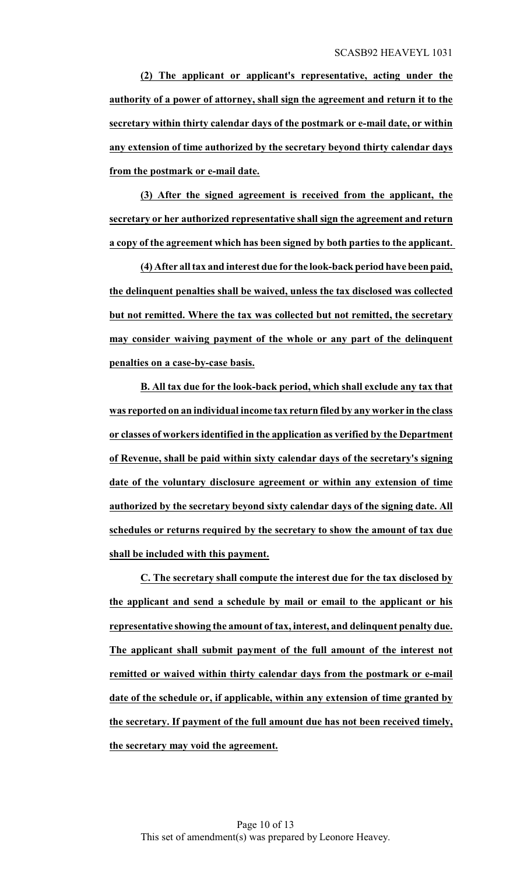**(2) The applicant or applicant's representative, acting under the authority of a power of attorney, shall sign the agreement and return it to the secretary within thirty calendar days of the postmark or e-mail date, or within any extension of time authorized by the secretary beyond thirty calendar days from the postmark or e-mail date.**

**(3) After the signed agreement is received from the applicant, the secretary or her authorized representative shall sign the agreement and return a copy of the agreement which has been signed by both parties to the applicant.** 

**(4) After all tax and interest due for the look-back period have been paid, the delinquent penalties shall be waived, unless the tax disclosed was collected but not remitted. Where the tax was collected but not remitted, the secretary may consider waiving payment of the whole or any part of the delinquent penalties on a case-by-case basis.**

**B. All tax due for the look-back period, which shall exclude any tax that was reported on an individual income tax return filed by any worker in the class or classes of workers identified in the application as verified by the Department of Revenue, shall be paid within sixty calendar days of the secretary's signing date of the voluntary disclosure agreement or within any extension of time authorized by the secretary beyond sixty calendar days of the signing date. All schedules or returns required by the secretary to show the amount of tax due shall be included with this payment.**

**C. The secretary shall compute the interest due for the tax disclosed by the applicant and send a schedule by mail or email to the applicant or his representative showing the amount of tax, interest, and delinquent penalty due. The applicant shall submit payment of the full amount of the interest not remitted or waived within thirty calendar days from the postmark or e-mail date of the schedule or, if applicable, within any extension of time granted by the secretary. If payment of the full amount due has not been received timely, the secretary may void the agreement.**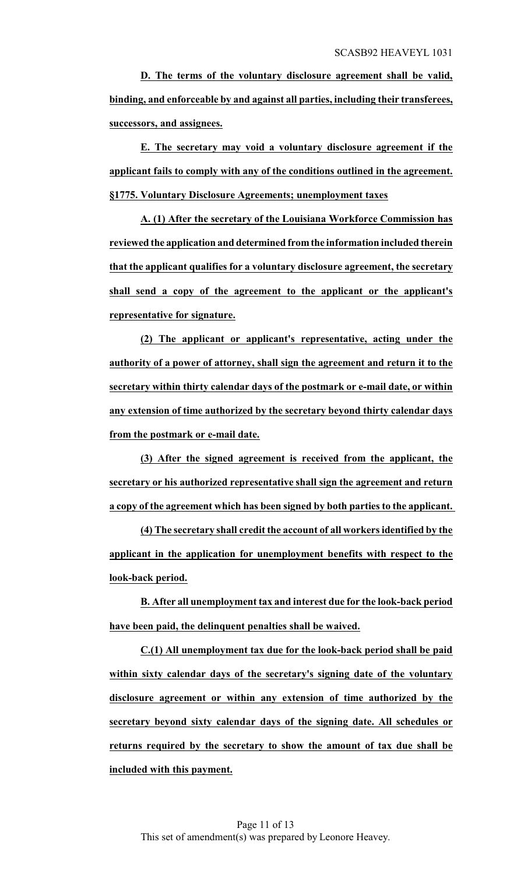**D. The terms of the voluntary disclosure agreement shall be valid, binding, and enforceable by and against all parties, including their transferees, successors, and assignees.**

**E. The secretary may void a voluntary disclosure agreement if the applicant fails to comply with any of the conditions outlined in the agreement. §1775. Voluntary Disclosure Agreements; unemployment taxes**

**A. (1) After the secretary of the Louisiana Workforce Commission has reviewed the application and determined fromthe information included therein that the applicant qualifies for a voluntary disclosure agreement, the secretary shall send a copy of the agreement to the applicant or the applicant's representative for signature.**

**(2) The applicant or applicant's representative, acting under the authority of a power of attorney, shall sign the agreement and return it to the secretary within thirty calendar days of the postmark or e-mail date, or within any extension of time authorized by the secretary beyond thirty calendar days from the postmark or e-mail date.**

**(3) After the signed agreement is received from the applicant, the secretary or his authorized representative shall sign the agreement and return a copy of the agreement which has been signed by both parties to the applicant.** 

**(4) The secretary shall credit the account of all workers identified by the applicant in the application for unemployment benefits with respect to the look-back period.**

**B. After all unemployment tax and interest due for the look-back period have been paid, the delinquent penalties shall be waived.**

**C.(1) All unemployment tax due for the look-back period shall be paid within sixty calendar days of the secretary's signing date of the voluntary disclosure agreement or within any extension of time authorized by the secretary beyond sixty calendar days of the signing date. All schedules or returns required by the secretary to show the amount of tax due shall be included with this payment.**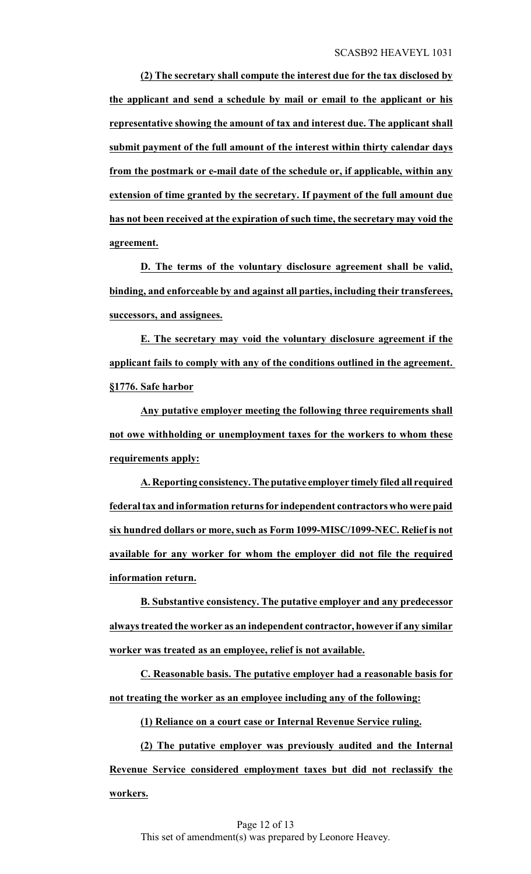**(2) The secretary shall compute the interest due for the tax disclosed by the applicant and send a schedule by mail or email to the applicant or his representative showing the amount of tax and interest due. The applicant shall submit payment of the full amount of the interest within thirty calendar days from the postmark or e-mail date of the schedule or, if applicable, within any extension of time granted by the secretary. If payment of the full amount due has not been received at the expiration of such time, the secretary may void the agreement.**

**D. The terms of the voluntary disclosure agreement shall be valid, binding, and enforceable by and against all parties, including their transferees, successors, and assignees.**

**E. The secretary may void the voluntary disclosure agreement if the applicant fails to comply with any of the conditions outlined in the agreement. §1776. Safe harbor**

**Any putative employer meeting the following three requirements shall not owe withholding or unemployment taxes for the workers to whom these requirements apply:**

**A. Reporting consistency.Theputative employer timely filed all required federal tax and information returns for independent contractors who were paid six hundred dollars or more, such as Form 1099-MISC/1099-NEC. Relief is not available for any worker for whom the employer did not file the required information return.**

**B. Substantive consistency. The putative employer and any predecessor always treated the worker as an independent contractor, however if any similar worker was treated as an employee, relief is not available.**

**C. Reasonable basis. The putative employer had a reasonable basis for not treating the worker as an employee including any of the following:**

**(1) Reliance on a court case or Internal Revenue Service ruling.**

**(2) The putative employer was previously audited and the Internal Revenue Service considered employment taxes but did not reclassify the workers.**